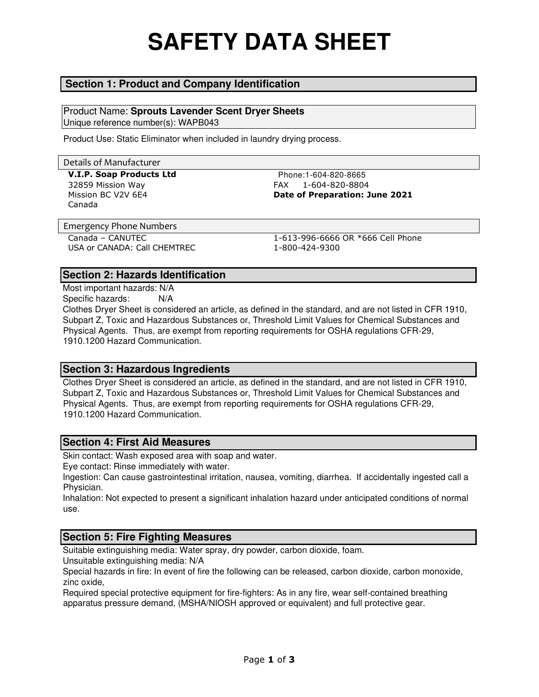# **SAFETY DATA SHEET**

### **Section 1: Product and Company Identification**

Product Name: **Sprouts Lavender Scent Dryer Sheets**  Unique reference number(s): WAPB043

Product Use: Static Eliminator when included in laundry drying process.

# Details of Manufacturer **V.I.P. Soap Products Ltd** Phone:1-604-820-8665 32859 Mission Way FAX 1-604-820-8804 Mission BC V2V 6E4 **Date of Preparation: June 2021** Canada Emergency Phone Numbers Canada – CANUTEC 1-613-996-6666 OR \*666 Cell Phone USA or CANADA: Call CHEMTREC 1-800-424-9300

#### **Section 2: Hazards Identification**

Most important hazards: N/A Specific hazards: N/A

Clothes Dryer Sheet is considered an article, as defined in the standard, and are not listed in CFR 1910, Subpart Z, Toxic and Hazardous Substances or, Threshold Limit Values for Chemical Substances and Physical Agents. Thus, are exempt from reporting requirements for OSHA regulations CFR-29, 1910.1200 Hazard Communication.

#### **Section 3: Hazardous Ingredients**

Clothes Dryer Sheet is considered an article, as defined in the standard, and are not listed in CFR 1910, Subpart Z, Toxic and Hazardous Substances or, Threshold Limit Values for Chemical Substances and Physical Agents. Thus, are exempt from reporting requirements for OSHA regulations CFR-29, 1910.1200 Hazard Communication.

#### **Section 4: First Aid Measures**

Skin contact: Wash exposed area with soap and water.

Eye contact: Rinse immediately with water.

Ingestion: Can cause gastrointestinal irritation, nausea, vomiting, diarrhea. If accidentally ingested call a Physician.

Inhalation: Not expected to present a significant inhalation hazard under anticipated conditions of normal use.

### **Section 5: Fire Fighting Measures**

Suitable extinguishing media: Water spray, dry powder, carbon dioxide, foam.

Unsuitable extinguishing media: N/A

Special hazards in fire: In event of fire the following can be released, carbon dioxide, carbon monoxide, zinc oxide,

Required special protective equipment for fire-fighters: As in any fire, wear self-contained breathing apparatus pressure demand, (MSHA/NIOSH approved or equivalent) and full protective gear.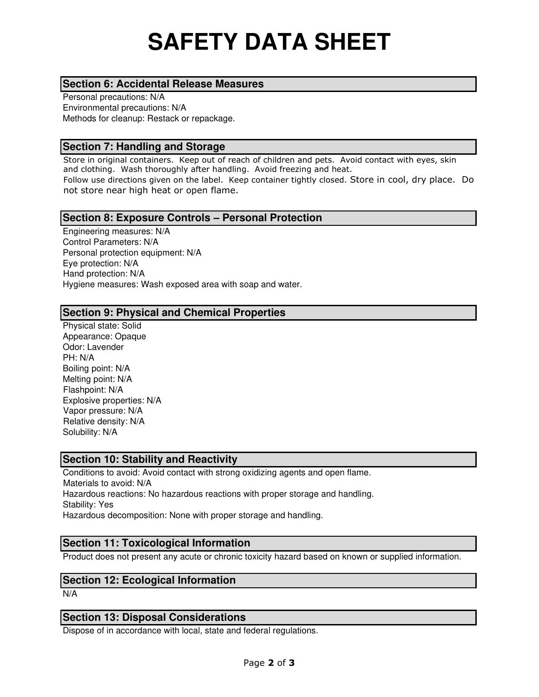# **SAFETY DATA SHEET**

#### **Section 6: Accidental Release Measures**

Personal precautions: N/A Environmental precautions: N/A Methods for cleanup: Restack or repackage.

#### **Section 7: Handling and Storage**

Store in original containers. Keep out of reach of children and pets. Avoid contact with eyes, skin and clothing. Wash thoroughly after handling. Avoid freezing and heat. Follow use directions given on the label. Keep container tightly closed. Store in cool, dry place. Do not store near high heat or open flame.

#### **Section 8: Exposure Controls – Personal Protection**

Engineering measures: N/A Control Parameters: N/A Personal protection equipment: N/A Eye protection: N/A Hand protection: N/A Hygiene measures: Wash exposed area with soap and water.

#### **Section 9: Physical and Chemical Properties**

Physical state: Solid Appearance: Opaque Odor: Lavender PH: N/A Boiling point: N/A Melting point: N/A Flashpoint: N/A Explosive properties: N/A Vapor pressure: N/A Relative density: N/A Solubility: N/A

#### **Section 10: Stability and Reactivity**

Conditions to avoid: Avoid contact with strong oxidizing agents and open flame. Materials to avoid: N/A Hazardous reactions: No hazardous reactions with proper storage and handling. Stability: Yes Hazardous decomposition: None with proper storage and handling.

#### **Section 11: Toxicological Information**

Product does not present any acute or chronic toxicity hazard based on known or supplied information.

#### **Section 12: Ecological Information**

N/A

#### **Section 13: Disposal Considerations**

Dispose of in accordance with local, state and federal regulations.